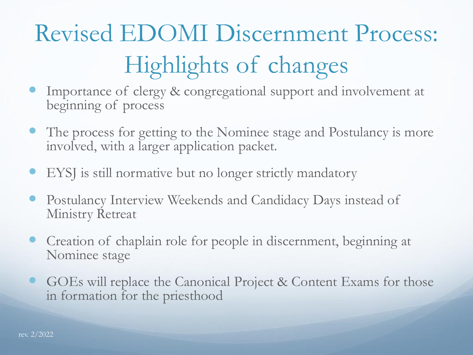# Revised EDOMI Discernment Process: Highlights of changes

- Importance of clergy & congregational support and involvement at beginning of process
- The process for getting to the Nominee stage and Postulancy is more involved, with a larger application packet.
- EYSJ is still normative but no longer strictly mandatory
- Postulancy Interview Weekends and Candidacy Days instead of Ministry Retreat
- Creation of chaplain role for people in discernment, beginning at Nominee stage
- GOEs will replace the Canonical Project & Content Exams for those in formation for the priesthood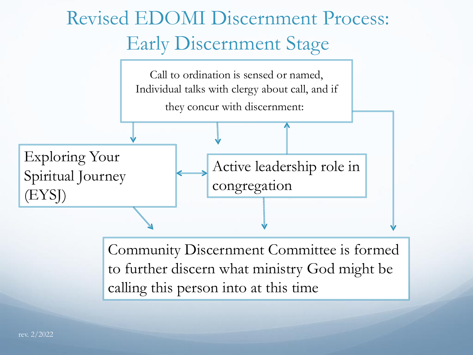## Revised EDOMI Discernment Process: Early Discernment Stage



Community Discernment Committee is formed to further discern what ministry God might be calling this person into at this time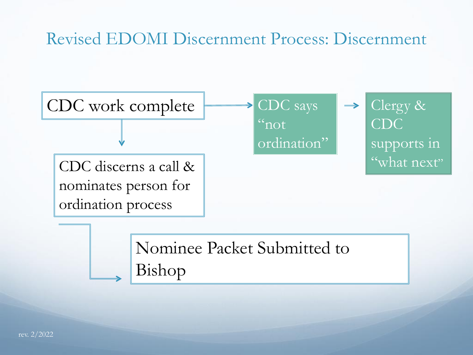#### Revised EDOMI Discernment Process: Discernment



Nominee Packet Submitted to Bishop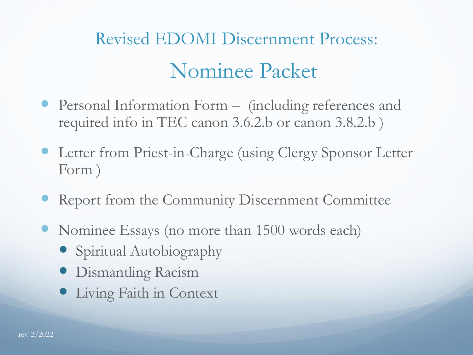## Nominee Packet Revised EDOMI Discernment Process:

- Personal Information Form (including references and required info in TEC canon 3.6.2.b or canon 3.8.2.b )
- Letter from Priest-in-Charge (using Clergy Sponsor Letter Form )
- Report from the Community Discernment Committee
- Nominee Essays (no more than 1500 words each)
	- Spiritual Autobiography
	- Dismantling Racism
	- Living Faith in Context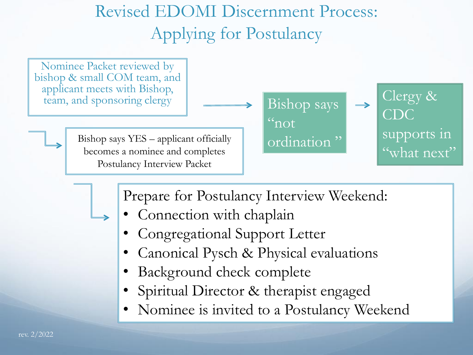#### Revised EDOMI Discernment Process: Applying for Postulancy

Nominee Packet reviewed by bishop & small COM team, and applicant meets with Bishop, team, and sponsoring clergy  $\parallel \quad \longrightarrow \quad$  Bishop says

> Bishop says YES – applicant officially becomes a nominee and completes Postulancy Interview Packet



Clergy & CDC supports in "what next"

Prepare for Postulancy Interview Weekend:

- Connection with chaplain
- Congregational Support Letter
- Canonical Pysch & Physical evaluations
- Background check complete
- Spiritual Director & therapist engaged
- Nominee is invited to a Postulancy Weekend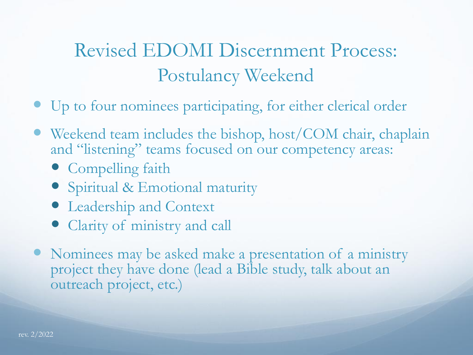#### Revised EDOMI Discernment Process: Postulancy Weekend

- Up to four nominees participating, for either clerical order
- Weekend team includes the bishop, host/COM chair, chaplain and "listening" teams focused on our competency areas:
	- Compelling faith
	- Spiritual & Emotional maturity
	- Leadership and Context
	- Clarity of ministry and call
- Nominees may be asked make a presentation of a ministry project they have done (lead a Bible study, talk about an outreach project, etc.)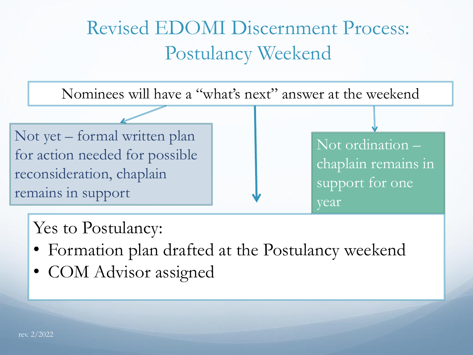#### Revised EDOMI Discernment Process: Postulancy Weekend

Nominees will have a "what's next" answer at the weekend

Not yet – formal written plan for action needed for possible reconsideration, chaplain remains in support

Not ordination – chaplain remains in support for one year

Yes to Postulancy:

- Formation plan drafted at the Postulancy weekend
- COM Advisor assigned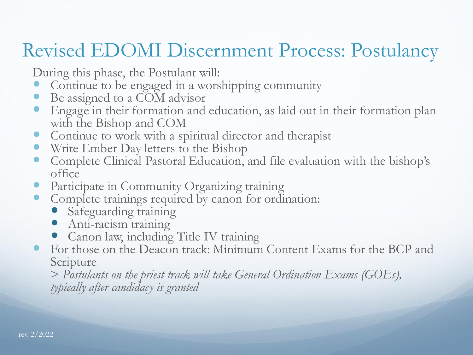#### Revised EDOMI Discernment Process: Postulancy

During this phase, the Postulant will:

- Continue to be engaged in a worshipping community
- Be assigned to a COM advisor
- Engage in their formation and education, as laid out in their formation plan with the Bishop and COM
- Continue to work with a spiritual director and therapist
- Write Ember Day letters to the Bishop
- Complete Clinical Pastoral Education, and file evaluation with the bishop's office
- Participate in Community Organizing training
- Complete trainings required by canon for ordination:
	- Safeguarding training
	- Anti-racism training
	- Canon law, including Title IV training
- For those on the Deacon track: Minimum Content Exams for the BCP and Scripture

> *Postulants on the priest track will take General Ordination Exams (GOEs), typically after candidacy is granted*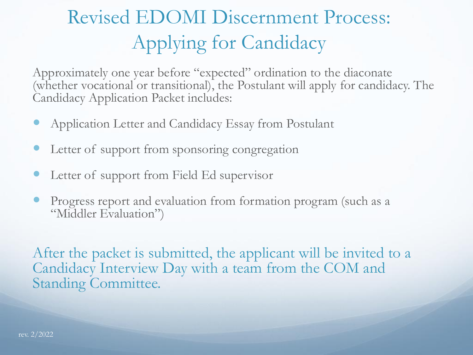### Revised EDOMI Discernment Process: Applying for Candidacy

Approximately one year before "expected" ordination to the diaconate (whether vocational or transitional), the Postulant will apply for candidacy. The Candidacy Application Packet includes:

- Application Letter and Candidacy Essay from Postulant
- Letter of support from sponsoring congregation
- Letter of support from Field Ed supervisor
- Progress report and evaluation from formation program (such as a "Middler Evaluation")

After the packet is submitted, the applicant will be invited to a Candidacy Interview Day with a team from the COM and Standing Committee.